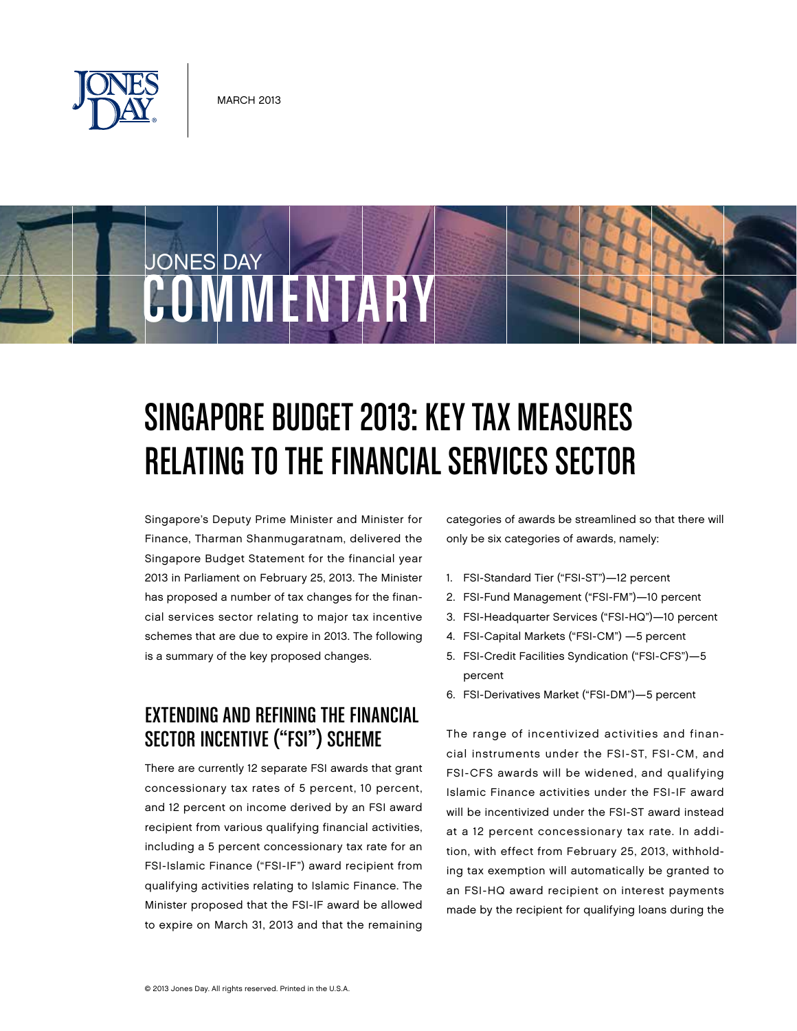

JONES DAY



Singapore's Deputy Prime Minister and Minister for Finance, Tharman Shanmugaratnam, delivered the Singapore Budget Statement for the financial year 2013 in Parliament on February 25, 2013. The Minister has proposed a number of tax changes for the financial services sector relating to major tax incentive schemes that are due to expire in 2013. The following is a summary of the key proposed changes.

COMMENTARY

### Extending and Refining the Financial Sector Incentive ("FSI") Scheme

There are currently 12 separate FSI awards that grant concessionary tax rates of 5 percent, 10 percent, and 12 percent on income derived by an FSI award recipient from various qualifying financial activities, including a 5 percent concessionary tax rate for an FSI-Islamic Finance ("FSI-IF") award recipient from qualifying activities relating to Islamic Finance. The Minister proposed that the FSI-IF award be allowed to expire on March 31, 2013 and that the remaining

categories of awards be streamlined so that there will only be six categories of awards, namely:

- 1. FSI-Standard Tier ("FSI-ST")—12 percent
- 2. FSI-Fund Management ("FSI-FM")—10 percent
- 3. FSI-Headquarter Services ("FSI-HQ")—10 percent
- 4. FSI-Capital Markets ("FSI-CM") —5 percent
- 5. FSI-Credit Facilities Syndication ("FSI-CFS")—5 percent
- 6. FSI-Derivatives Market ("FSI-DM")—5 percent

The range of incentivized activities and financial instruments under the FSI-ST, FSI-CM, and FSI-CFS awards will be widened, and qualifying Islamic Finance activities under the FSI-IF award will be incentivized under the FSI-ST award instead at a 12 percent concessionary tax rate. In addition, with effect from February 25, 2013, withholding tax exemption will automatically be granted to an FSI-HQ award recipient on interest payments made by the recipient for qualifying loans during the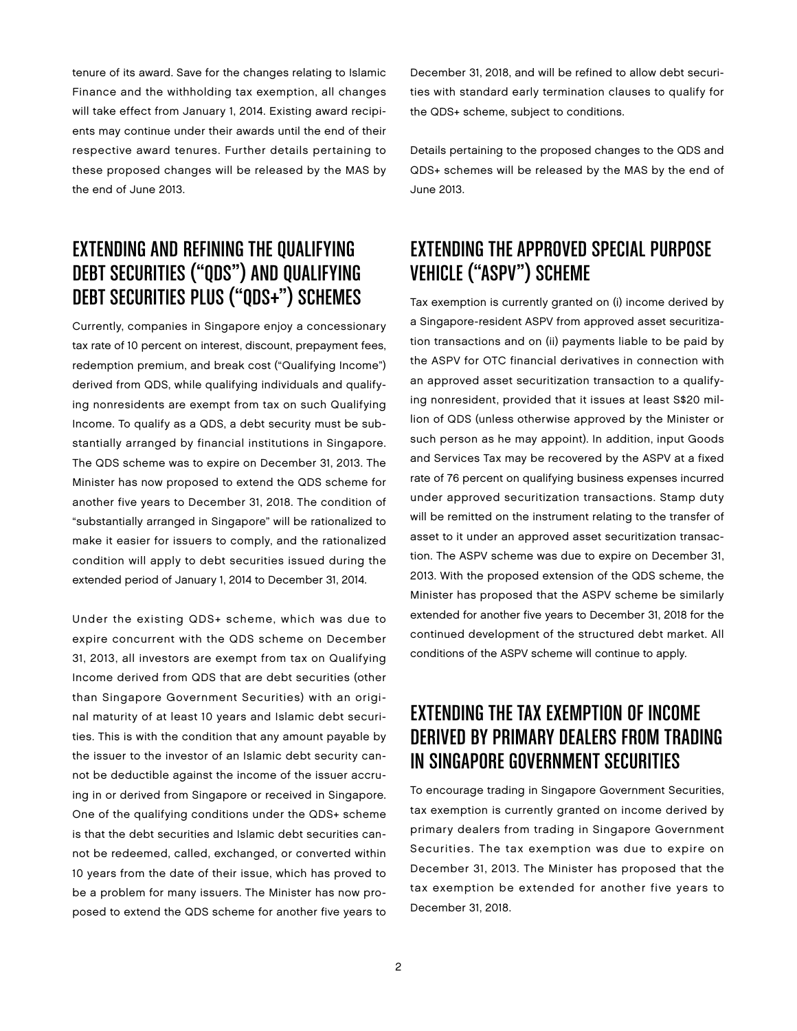tenure of its award. Save for the changes relating to Islamic Finance and the withholding tax exemption, all changes will take effect from January 1, 2014. Existing award recipients may continue under their awards until the end of their respective award tenures. Further details pertaining to these proposed changes will be released by the MAS by the end of June 2013.

#### Extending and Refining the Qualifying Debt Securities ("QDS") and Qualifying Debt Securities Plus ("QDS+") Schemes

Currently, companies in Singapore enjoy a concessionary tax rate of 10 percent on interest, discount, prepayment fees, redemption premium, and break cost ("Qualifying Income") derived from QDS, while qualifying individuals and qualifying nonresidents are exempt from tax on such Qualifying Income. To qualify as a QDS, a debt security must be substantially arranged by financial institutions in Singapore. The QDS scheme was to expire on December 31, 2013. The Minister has now proposed to extend the QDS scheme for another five years to December 31, 2018. The condition of "substantially arranged in Singapore" will be rationalized to make it easier for issuers to comply, and the rationalized condition will apply to debt securities issued during the extended period of January 1, 2014 to December 31, 2014.

Under the existing QDS+ scheme, which was due to expire concurrent with the QDS scheme on December 31, 2013, all investors are exempt from tax on Qualifying Income derived from QDS that are debt securities (other than Singapore Government Securities) with an original maturity of at least 10 years and Islamic debt securities. This is with the condition that any amount payable by the issuer to the investor of an Islamic debt security cannot be deductible against the income of the issuer accruing in or derived from Singapore or received in Singapore. One of the qualifying conditions under the QDS+ scheme is that the debt securities and Islamic debt securities cannot be redeemed, called, exchanged, or converted within 10 years from the date of their issue, which has proved to be a problem for many issuers. The Minister has now proposed to extend the QDS scheme for another five years to

December 31, 2018, and will be refined to allow debt securities with standard early termination clauses to qualify for the QDS+ scheme, subject to conditions.

Details pertaining to the proposed changes to the QDS and QDS+ schemes will be released by the MAS by the end of June 2013.

## Extending the Approved Special Purpose Vehicle ("ASPV") Scheme

Tax exemption is currently granted on (i) income derived by a Singapore-resident ASPV from approved asset securitization transactions and on (ii) payments liable to be paid by the ASPV for OTC financial derivatives in connection with an approved asset securitization transaction to a qualifying nonresident, provided that it issues at least S\$20 million of QDS (unless otherwise approved by the Minister or such person as he may appoint). In addition, input Goods and Services Tax may be recovered by the ASPV at a fixed rate of 76 percent on qualifying business expenses incurred under approved securitization transactions. Stamp duty will be remitted on the instrument relating to the transfer of asset to it under an approved asset securitization transaction. The ASPV scheme was due to expire on December 31, 2013. With the proposed extension of the QDS scheme, the Minister has proposed that the ASPV scheme be similarly extended for another five years to December 31, 2018 for the continued development of the structured debt market. All conditions of the ASPV scheme will continue to apply.

## Extending the Tax Exemption of Income Derived by Primary Dealers from Trading in Singapore Government Securities

To encourage trading in Singapore Government Securities, tax exemption is currently granted on income derived by primary dealers from trading in Singapore Government Securities. The tax exemption was due to expire on December 31, 2013. The Minister has proposed that the tax exemption be extended for another five years to December 31, 2018.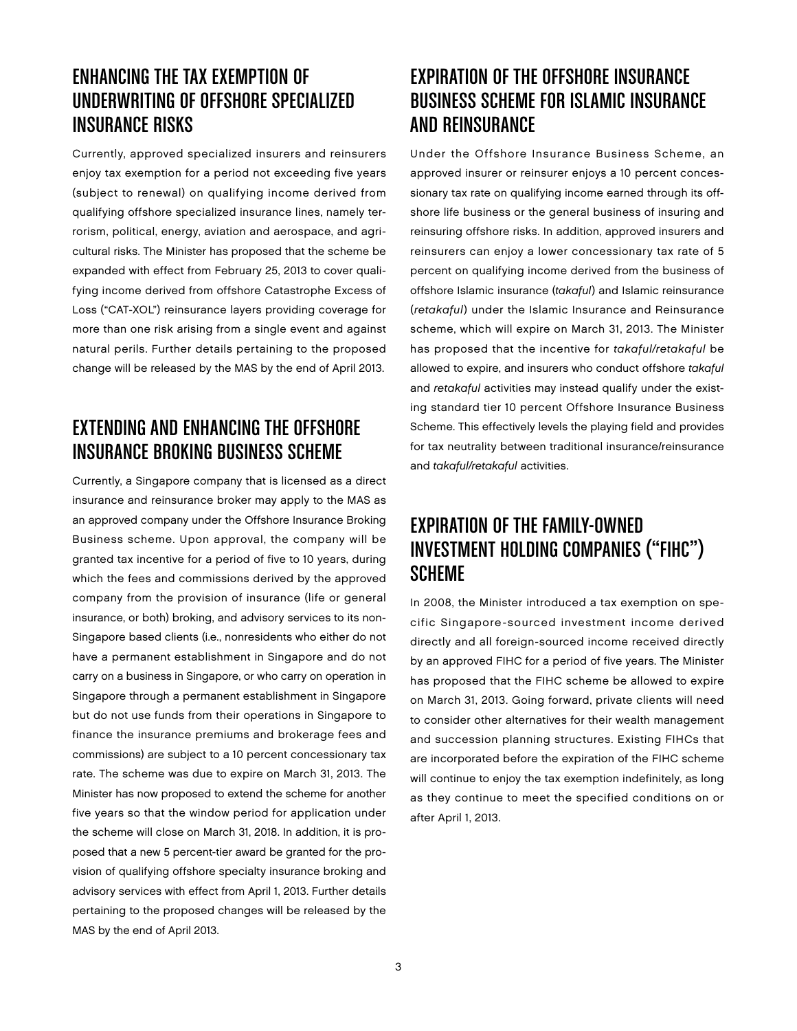### Enhancing the Tax Exemption of Underwriting of Offshore Specialized Insurance Risks

Currently, approved specialized insurers and reinsurers enjoy tax exemption for a period not exceeding five years (subject to renewal) on qualifying income derived from qualifying offshore specialized insurance lines, namely terrorism, political, energy, aviation and aerospace, and agricultural risks. The Minister has proposed that the scheme be expanded with effect from February 25, 2013 to cover qualifying income derived from offshore Catastrophe Excess of Loss ("CAT-XOL") reinsurance layers providing coverage for more than one risk arising from a single event and against natural perils. Further details pertaining to the proposed change will be released by the MAS by the end of April 2013.

## Extending and Enhancing the Offshore Insurance Broking Business Scheme

Currently, a Singapore company that is licensed as a direct insurance and reinsurance broker may apply to the MAS as an approved company under the Offshore Insurance Broking Business scheme. Upon approval, the company will be granted tax incentive for a period of five to 10 years, during which the fees and commissions derived by the approved company from the provision of insurance (life or general insurance, or both) broking, and advisory services to its non-Singapore based clients (i.e., nonresidents who either do not have a permanent establishment in Singapore and do not carry on a business in Singapore, or who carry on operation in Singapore through a permanent establishment in Singapore but do not use funds from their operations in Singapore to finance the insurance premiums and brokerage fees and commissions) are subject to a 10 percent concessionary tax rate. The scheme was due to expire on March 31, 2013. The Minister has now proposed to extend the scheme for another five years so that the window period for application under the scheme will close on March 31, 2018. In addition, it is proposed that a new 5 percent-tier award be granted for the provision of qualifying offshore specialty insurance broking and advisory services with effect from April 1, 2013. Further details pertaining to the proposed changes will be released by the MAS by the end of April 2013.

# Expiration of the Offshore Insurance Business Scheme for Islamic Insurance and Reinsurance

Under the Offshore Insurance Business Scheme, an approved insurer or reinsurer enjoys a 10 percent concessionary tax rate on qualifying income earned through its offshore life business or the general business of insuring and reinsuring offshore risks. In addition, approved insurers and reinsurers can enjoy a lower concessionary tax rate of 5 percent on qualifying income derived from the business of offshore Islamic insurance (takaful) and Islamic reinsurance (retakaful) under the Islamic Insurance and Reinsurance scheme, which will expire on March 31, 2013. The Minister has proposed that the incentive for takaful/retakaful be allowed to expire, and insurers who conduct offshore takaful and retakaful activities may instead qualify under the existing standard tier 10 percent Offshore Insurance Business Scheme. This effectively levels the playing field and provides for tax neutrality between traditional insurance/reinsurance and takaful/retakaful activities.

# Expiration of the Family-Owned Investment Holding Companies ("FIHC") **SCHEME**

In 2008, the Minister introduced a tax exemption on specific Singapore-sourced investment income derived directly and all foreign-sourced income received directly by an approved FIHC for a period of five years. The Minister has proposed that the FIHC scheme be allowed to expire on March 31, 2013. Going forward, private clients will need to consider other alternatives for their wealth management and succession planning structures. Existing FIHCs that are incorporated before the expiration of the FIHC scheme will continue to enjoy the tax exemption indefinitely, as long as they continue to meet the specified conditions on or after April 1, 2013.